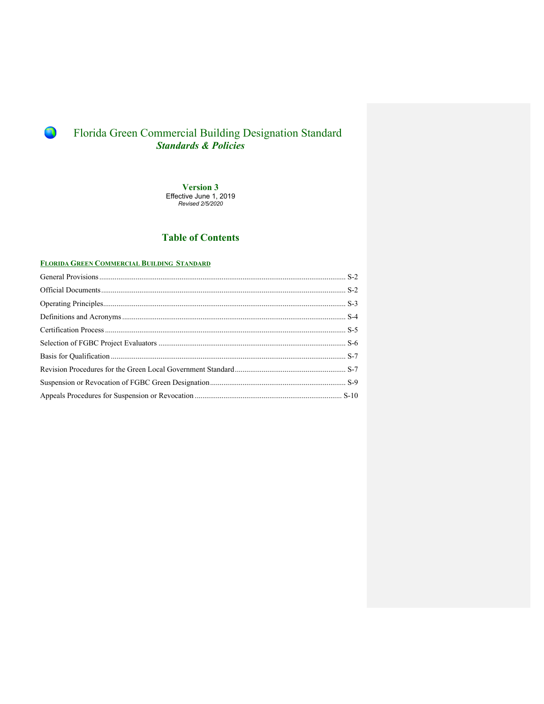**Version 3** Effective June 1, 2019 *Revised 2/5/2020*

### **Table of Contents**

### **FLORIDA GREEN COMMERCIAL BUILDING STANDARD**

R)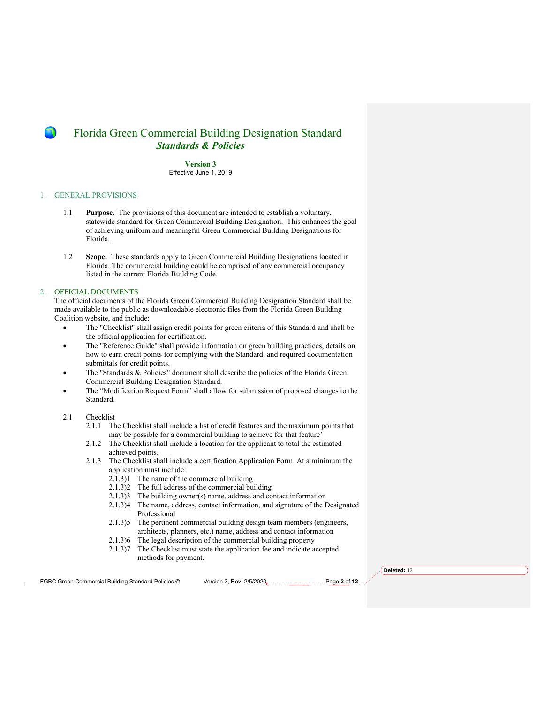**Version 3** Effective June 1, 2019

### 1. GENERAL PROVISIONS

- 1.1 **Purpose.** The provisions of this document are intended to establish a voluntary, statewide standard for Green Commercial Building Designation. This enhances the goal of achieving uniform and meaningful Green Commercial Building Designations for Florida.
- 1.2 **Scope.** These standards apply to Green Commercial Building Designations located in Florida. The commercial building could be comprised of any commercial occupancy listed in the current Florida Building Code.

#### 2. OFFICIAL DOCUMENTS

The official documents of the Florida Green Commercial Building Designation Standard shall be made available to the public as downloadable electronic files from the Florida Green Building Coalition website, and include:

- The "Checklist" shall assign credit points for green criteria of this Standard and shall be the official application for certification.
- The "Reference Guide" shall provide information on green building practices, details on how to earn credit points for complying with the Standard, and required documentation submittals for credit points.
- The "Standards & Policies" document shall describe the policies of the Florida Green Commercial Building Designation Standard.
- The "Modification Request Form" shall allow for submission of proposed changes to the Standard.
- 2.1 Checklist
	- 2.1.1 The Checklist shall include a list of credit features and the maximum points that may be possible for a commercial building to achieve for that feature'
	- 2.1.2 The Checklist shall include a location for the applicant to total the estimated achieved points.
	- 2.1.3 The Checklist shall include a certification Application Form. At a minimum the application must include:
		- 2.1.3)1 The name of the commercial building
		- 2.1.3)2 The full address of the commercial building
		- 2.1.3)3 The building owner(s) name, address and contact information
		- 2.1.3)4 The name, address, contact information, and signature of the Designated Professional
		- 2.1.3)5 The pertinent commercial building design team members (engineers, architects, planners, etc.) name, address and contact information
		- 2.1.3)6 The legal description of the commercial building property
		- 2.1.3)7 The Checklist must state the application fee and indicate accepted methods for payment.

FGBC Green Commercial Building Standard Policies © Version 3, Rev. 2/5/2020<sub>v</sub> Page 2 of 12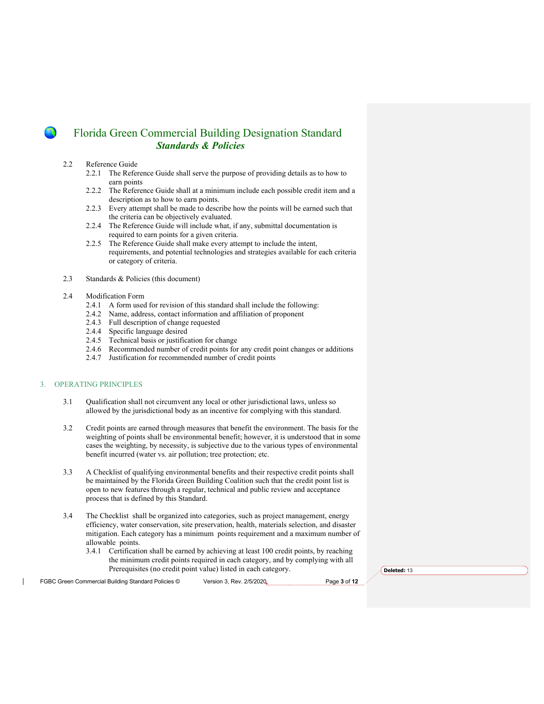#### 2.2 Reference Guide

- 2.2.1 The Reference Guide shall serve the purpose of providing details as to how to earn points
- 2.2.2 The Reference Guide shall at a minimum include each possible credit item and a description as to how to earn points.
- 2.2.3 Every attempt shall be made to describe how the points will be earned such that the criteria can be objectively evaluated.
- 2.2.4 The Reference Guide will include what, if any, submittal documentation is required to earn points for a given criteria.
- 2.2.5 The Reference Guide shall make every attempt to include the intent, requirements, and potential technologies and strategies available for each criteria or category of criteria.
- 2.3 Standards & Policies (this document)

#### 2.4 Modification Form

- 2.4.1 A form used for revision of this standard shall include the following:
- 2.4.2 Name, address, contact information and affiliation of proponent
- 2.4.3 Full description of change requested
- 2.4.4 Specific language desired
- 2.4.5 Technical basis or justification for change
- 2.4.6 Recommended number of credit points for any credit point changes or additions
- 2.4.7 Justification for recommended number of credit points

### 3. OPERATING PRINCIPLES

- 3.1 Qualification shall not circumvent any local or other jurisdictional laws, unless so allowed by the jurisdictional body as an incentive for complying with this standard.
- 3.2 Credit points are earned through measures that benefit the environment. The basis for the weighting of points shall be environmental benefit; however, it is understood that in some cases the weighting, by necessity, is subjective due to the various types of environmental benefit incurred (water vs. air pollution; tree protection; etc.
- 3.3 A Checklist of qualifying environmental benefits and their respective credit points shall be maintained by the Florida Green Building Coalition such that the credit point list is open to new features through a regular, technical and public review and acceptance process that is defined by this Standard.
- 3.4 The Checklist shall be organized into categories, such as project management, energy efficiency, water conservation, site preservation, health, materials selection, and disaster mitigation. Each category has a minimum points requirement and a maximum number of allowable points.
	- 3.4.1 Certification shall be earned by achieving at least 100 credit points, by reaching the minimum credit points required in each category, and by complying with all Prerequisites (no credit point value) listed in each category.

FGBC Green Commercial Building Standard Policies © Version 3, Rev. 2/5/2020 Page 3 of 12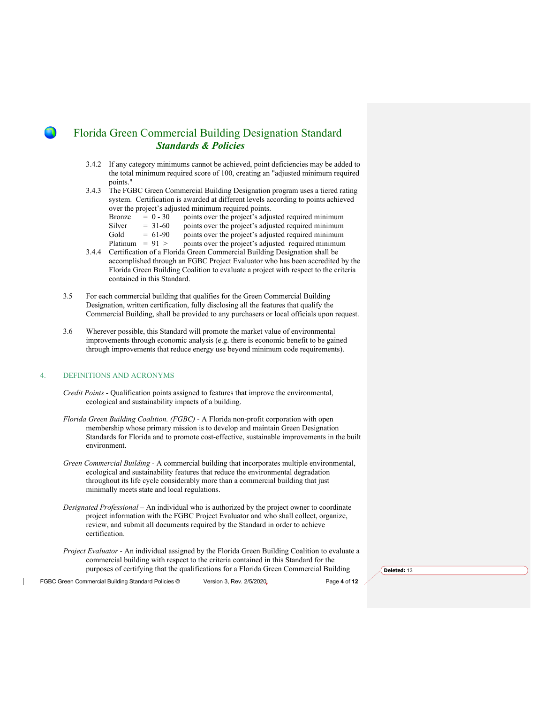- 3.4.2 If any category minimums cannot be achieved, point deficiencies may be added to the total minimum required score of 100, creating an "adjusted minimum required points."
- 3.4.3 The FGBC Green Commercial Building Designation program uses a tiered rating system. Certification is awarded at different levels according to points achieved over the project's adjusted minimum required points.
	- Bronze  $= 0 30$  points over the project's adjusted required minimum
	- Silver  $= 31-60$  points over the project's adjusted required minimum Gold  $= 61-90$  points over the project's adjusted required minimum
	- Gold  $= 61-90$  points over the project's adjusted required minimum<br>Platinum  $= 91$  > points over the project's adjusted required minimum
	- points over the project's adjusted required minimum
- 3.4.4 Certification of a Florida Green Commercial Building Designation shall be accomplished through an FGBC Project Evaluator who has been accredited by the Florida Green Building Coalition to evaluate a project with respect to the criteria contained in this Standard.
- 3.5 For each commercial building that qualifies for the Green Commercial Building Designation, written certification, fully disclosing all the features that qualify the Commercial Building, shall be provided to any purchasers or local officials upon request.
- 3.6 Wherever possible, this Standard will promote the market value of environmental improvements through economic analysis (e.g. there is economic benefit to be gained through improvements that reduce energy use beyond minimum code requirements).

#### 4. DEFINITIONS AND ACRONYMS

- *Credit Points* Qualification points assigned to features that improve the environmental, ecological and sustainability impacts of a building.
- *Florida Green Building Coalition. (FGBC)* A Florida non-profit corporation with open membership whose primary mission is to develop and maintain Green Designation Standards for Florida and to promote cost-effective, sustainable improvements in the built environment.
- *Green Commercial Building* A commercial building that incorporates multiple environmental, ecological and sustainability features that reduce the environmental degradation throughout its life cycle considerably more than a commercial building that just minimally meets state and local regulations.
- *Designated Professional* An individual who is authorized by the project owner to coordinate project information with the FGBC Project Evaluator and who shall collect, organize, review, and submit all documents required by the Standard in order to achieve certification.
- *Project Evaluator* An individual assigned by the Florida Green Building Coalition to evaluate a commercial building with respect to the criteria contained in this Standard for the purposes of certifying that the qualifications for a Florida Green Commercial Building

FGBC Green Commercial Building Standard Policies © Version 3, Rev. 2/5/2020<sub>v</sub> Page 4 of 12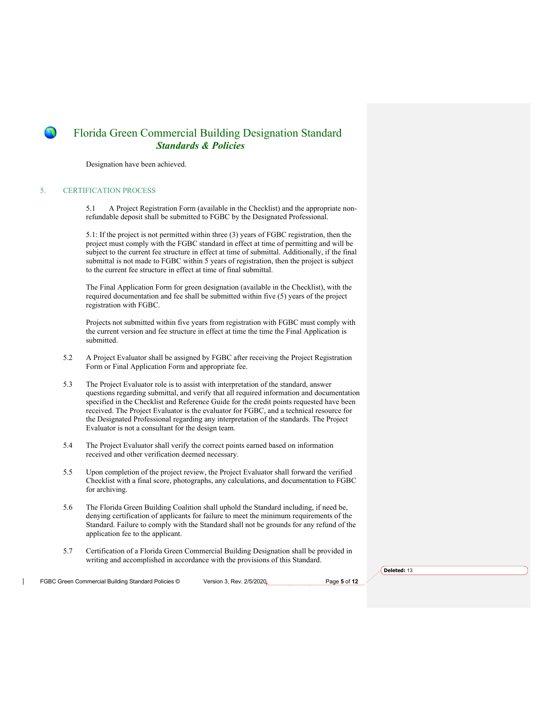Designation have been achieved.

#### 5. CERTIFICATION PROCESS

5.1 A Project Registration Form (available in the Checklist) and the appropriate nonrefundable deposit shall be submitted to FGBC by the Designated Professional.

5.1: If the project is not permitted within three (3) years of FGBC registration, then the project must comply with the FGBC standard in effect at time of permitting and will be subject to the current fee structure in effect at time of submittal. Additionally, if the final submittal is not made to FGBC within 5 years of registration, then the project is subject to the current fee structure in effect at time of final submittal.

The Final Application Form for green designation (available in the Checklist), with the required documentation and fee shall be submitted within five (5) years of the project registration with FGBC.

Projects not submitted within five years from registration with FGBC must comply with the current version and fee structure in effect at time the time the Final Application is submitted.

- 5.2 A Project Evaluator shall be assigned by FGBC after receiving the Project Registration Form or Final Application Form and appropriate fee.
- 5.3 The Project Evaluator role is to assist with interpretation of the standard, answer questions regarding submittal, and verify that all required information and documentation specified in the Checklist and Reference Guide for the credit points requested have been received. The Project Evaluator is the evaluator for FGBC, and a technical resource for the Designated Professional regarding any interpretation of the standards. The Project Evaluator is not a consultant for the design team.
- 5.4 The Project Evaluator shall verify the correct points earned based on information received and other verification deemed necessary.
- 5.5 Upon completion of the project review, the Project Evaluator shall forward the verified Checklist with a final score, photographs, any calculations, and documentation to FGBC for archiving.
- 5.6 The Florida Green Building Coalition shall uphold the Standard including, if need be, denying certification of applicants for failure to meet the minimum requirements of the Standard. Failure to comply with the Standard shall not be grounds for any refund of the application fee to the applicant.
- 5.7 Certification of a Florida Green Commercial Building Designation shall be provided in writing and accomplished in accordance with the provisions of this Standard.

FGBC Green Commercial Building Standard Policies © Version 3, Rev. 2/5/2020<sub>v</sub> Page 5 of 12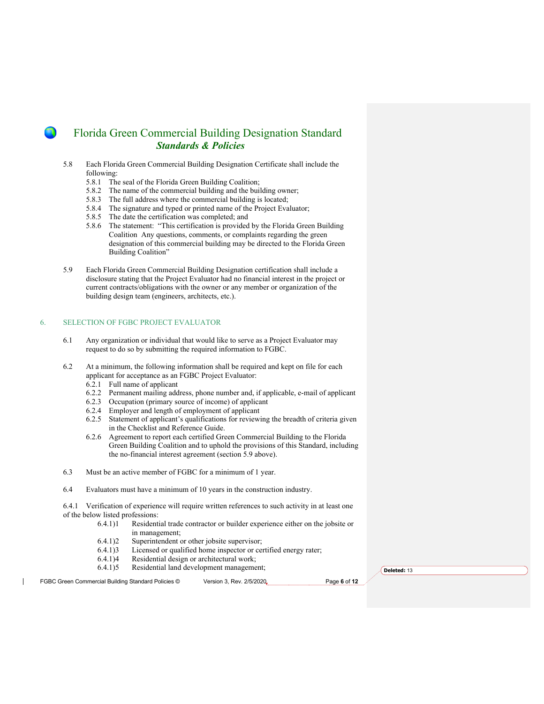- 5.8 Each Florida Green Commercial Building Designation Certificate shall include the following:
	- 5.8.1 The seal of the Florida Green Building Coalition;
	- 5.8.2 The name of the commercial building and the building owner;
	- 5.8.3 The full address where the commercial building is located;
	- 5.8.4 The signature and typed or printed name of the Project Evaluator;
	- 5.8.5 The date the certification was completed; and
	- 5.8.6 The statement: "This certification is provided by the Florida Green Building Coalition Any questions, comments, or complaints regarding the green designation of this commercial building may be directed to the Florida Green Building Coalition"
- 5.9 Each Florida Green Commercial Building Designation certification shall include a disclosure stating that the Project Evaluator had no financial interest in the project or current contracts/obligations with the owner or any member or organization of the building design team (engineers, architects, etc.).

#### 6. SELECTION OF FGBC PROJECT EVALUATOR

- 6.1 Any organization or individual that would like to serve as a Project Evaluator may request to do so by submitting the required information to FGBC.
- 6.2 At a minimum, the following information shall be required and kept on file for each applicant for acceptance as an FGBC Project Evaluator:
	- 6.2.1 Full name of applicant
	- 6.2.2 Permanent mailing address, phone number and, if applicable, e-mail of applicant
	- 6.2.3 Occupation (primary source of income) of applicant
	- 6.2.4 Employer and length of employment of applicant
	- 6.2.5 Statement of applicant's qualifications for reviewing the breadth of criteria given in the Checklist and Reference Guide.
	- 6.2.6 Agreement to report each certified Green Commercial Building to the Florida Green Building Coalition and to uphold the provisions of this Standard, including the no-financial interest agreement (section 5.9 above).
- 6.3 Must be an active member of FGBC for a minimum of 1 year.
- 6.4 Evaluators must have a minimum of 10 years in the construction industry.

6.4.1 Verification of experience will require written references to such activity in at least one of the below listed professions:

- 6.4.1)1 Residential trade contractor or builder experience either on the jobsite or in management;
- 6.4.1)2 Superintendent or other jobsite supervisor;
- 6.4.1)3 Licensed or qualified home inspector or certified energy rater;
- 6.4.1)4 Residential design or architectural work;
- 6.4.1)5 Residential land development management;

FGBC Green Commercial Building Standard Policies © Version 3, Rev. 2/5/2020<sub>v</sub> Page 6 of 12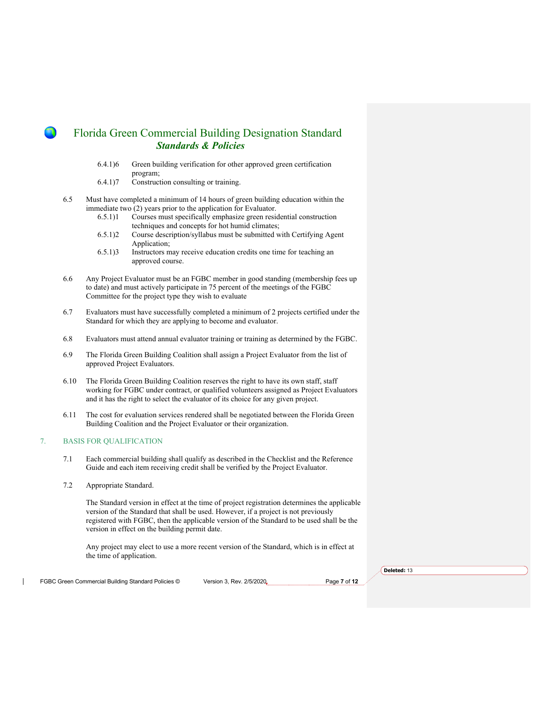- 6.4.1)6 Green building verification for other approved green certification program;
- 6.4.1)7 Construction consulting or training.
- 6.5 Must have completed a minimum of 14 hours of green building education within the immediate two (2) years prior to the application for Evaluator.
	- 6.5.1)1 Courses must specifically emphasize green residential construction techniques and concepts for hot humid climates;
	- 6.5.1)2 Course description/syllabus must be submitted with Certifying Agent Application;
	- 6.5.1)3 Instructors may receive education credits one time for teaching an approved course.
- 6.6 Any Project Evaluator must be an FGBC member in good standing (membership fees up to date) and must actively participate in 75 percent of the meetings of the FGBC Committee for the project type they wish to evaluate
- 6.7 Evaluators must have successfully completed a minimum of 2 projects certified under the Standard for which they are applying to become and evaluator.
- 6.8 Evaluators must attend annual evaluator training or training as determined by the FGBC.
- 6.9 The Florida Green Building Coalition shall assign a Project Evaluator from the list of approved Project Evaluators.
- 6.10 The Florida Green Building Coalition reserves the right to have its own staff, staff working for FGBC under contract, or qualified volunteers assigned as Project Evaluators and it has the right to select the evaluator of its choice for any given project.
- 6.11 The cost for evaluation services rendered shall be negotiated between the Florida Green Building Coalition and the Project Evaluator or their organization.

### 7. BASIS FOR QUALIFICATION

- 7.1 Each commercial building shall qualify as described in the Checklist and the Reference Guide and each item receiving credit shall be verified by the Project Evaluator.
- 7.2 Appropriate Standard.

The Standard version in effect at the time of project registration determines the applicable version of the Standard that shall be used. However, if a project is not previously registered with FGBC, then the applicable version of the Standard to be used shall be the version in effect on the building permit date.

Any project may elect to use a more recent version of the Standard, which is in effect at the time of application.

FGBC Green Commercial Building Standard Policies © Version 3, Rev. 2/5/2020<sub>v</sub> Page 7 of 12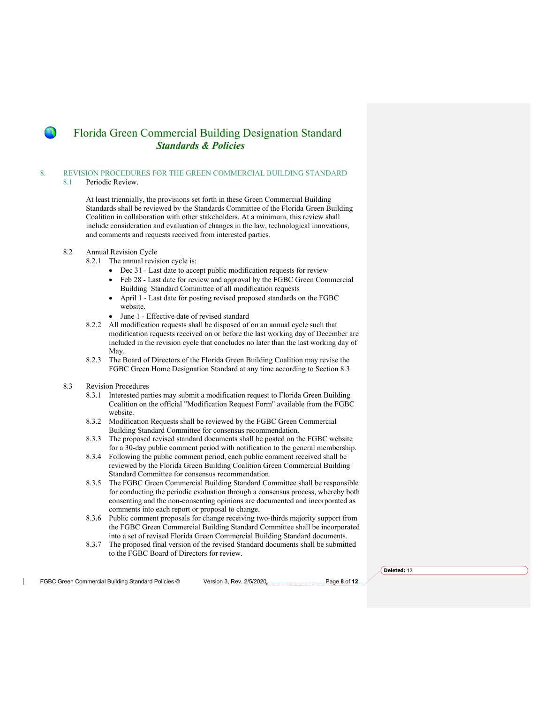### 8. REVISION PROCEDURES FOR THE GREEN COMMERCIAL BUILDING STANDARD

#### 8.1 Periodic Review.

At least triennially, the provisions set forth in these Green Commercial Building Standards shall be reviewed by the Standards Committee of the Florida Green Building Coalition in collaboration with other stakeholders. At a minimum, this review shall include consideration and evaluation of changes in the law, technological innovations, and comments and requests received from interested parties.

#### 8.2 Annual Revision Cycle

- 8.2.1 The annual revision cycle is:
	- Dec 31 Last date to accept public modification requests for review
	- Feb 28 Last date for review and approval by the FGBC Green Commercial Building Standard Committee of all modification requests
	- April 1 Last date for posting revised proposed standards on the FGBC website.
	- June 1 Effective date of revised standard
- 8.2.2 All modification requests shall be disposed of on an annual cycle such that modification requests received on or before the last working day of December are included in the revision cycle that concludes no later than the last working day of May.
- 8.2.3 The Board of Directors of the Florida Green Building Coalition may revise the FGBC Green Home Designation Standard at any time according to Section 8.3

### 8.3 Revision Procedures

- 8.3.1 Interested parties may submit a modification request to Florida Green Building Coalition on the official "Modification Request Form" available from the FGBC website.
- 8.3.2 Modification Requests shall be reviewed by the FGBC Green Commercial Building Standard Committee for consensus recommendation.
- 8.3.3 The proposed revised standard documents shall be posted on the FGBC website for a 30-day public comment period with notification to the general membership.
- 8.3.4 Following the public comment period, each public comment received shall be reviewed by the Florida Green Building Coalition Green Commercial Building Standard Committee for consensus recommendation.
- 8.3.5 The FGBC Green Commercial Building Standard Committee shall be responsible for conducting the periodic evaluation through a consensus process, whereby both consenting and the non-consenting opinions are documented and incorporated as comments into each report or proposal to change.
- 8.3.6 Public comment proposals for change receiving two-thirds majority support from the FGBC Green Commercial Building Standard Committee shall be incorporated into a set of revised Florida Green Commercial Building Standard documents.
- 8.3.7 The proposed final version of the revised Standard documents shall be submitted to the FGBC Board of Directors for review.

FGBC Green Commercial Building Standard Policies © Version 3, Rev. 2/5/2020<sub>v</sub> Page 8 of 12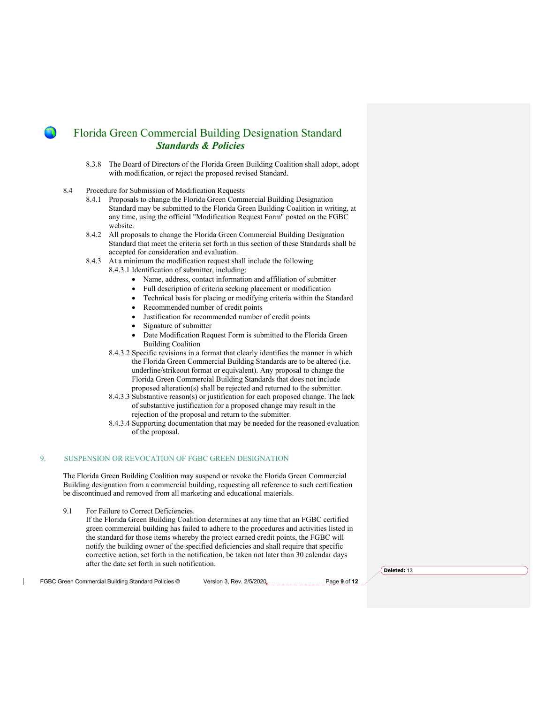- 8.3.8 The Board of Directors of the Florida Green Building Coalition shall adopt, adopt with modification, or reject the proposed revised Standard.
- 8.4 Procedure for Submission of Modification Requests
	- 8.4.1 Proposals to change the Florida Green Commercial Building Designation Standard may be submitted to the Florida Green Building Coalition in writing, at any time, using the official "Modification Request Form" posted on the FGBC website.
	- 8.4.2 All proposals to change the Florida Green Commercial Building Designation Standard that meet the criteria set forth in this section of these Standards shall be accepted for consideration and evaluation.
	- 8.4.3 At a minimum the modification request shall include the following
		- 8.4.3.1 Identification of submitter, including:
			- Name, address, contact information and affiliation of submitter
			- Full description of criteria seeking placement or modification
			- Technical basis for placing or modifying criteria within the Standard
			- Recommended number of credit points
			- Justification for recommended number of credit points
			- Signature of submitter
			- Date Modification Request Form is submitted to the Florida Green Building Coalition
		- 8.4.3.2 Specific revisions in a format that clearly identifies the manner in which the Florida Green Commercial Building Standards are to be altered (i.e. underline/strikeout format or equivalent). Any proposal to change the Florida Green Commercial Building Standards that does not include proposed alteration(s) shall be rejected and returned to the submitter.
		- 8.4.3.3 Substantive reason(s) or justification for each proposed change. The lack of substantive justification for a proposed change may result in the rejection of the proposal and return to the submitter.
		- 8.4.3.4 Supporting documentation that may be needed for the reasoned evaluation of the proposal.

#### 9. SUSPENSION OR REVOCATION OF FGBC GREEN DESIGNATION

The Florida Green Building Coalition may suspend or revoke the Florida Green Commercial Building designation from a commercial building, requesting all reference to such certification be discontinued and removed from all marketing and educational materials.

9.1 For Failure to Correct Deficiencies.

If the Florida Green Building Coalition determines at any time that an FGBC certified green commercial building has failed to adhere to the procedures and activities listed in the standard for those items whereby the project earned credit points, the FGBC will notify the building owner of the specified deficiencies and shall require that specific corrective action, set forth in the notification, be taken not later than 30 calendar days after the date set forth in such notification.

**Deleted:** 13

FGBC Green Commercial Building Standard Policies © Version 3, Rev. 2/5/2020<sub>v</sub> Page 9 of 12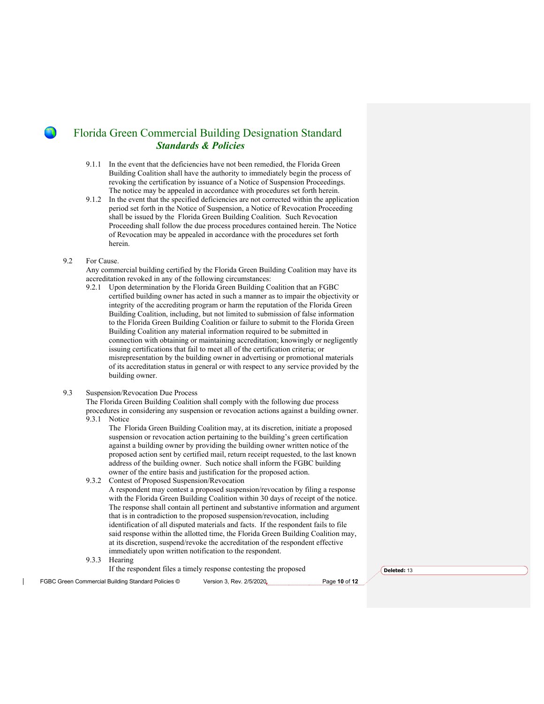- 9.1.1 In the event that the deficiencies have not been remedied, the Florida Green Building Coalition shall have the authority to immediately begin the process of revoking the certification by issuance of a Notice of Suspension Proceedings. The notice may be appealed in accordance with procedures set forth herein.
- 9.1.2 In the event that the specified deficiencies are not corrected within the application period set forth in the Notice of Suspension, a Notice of Revocation Proceeding shall be issued by the Florida Green Building Coalition. Such Revocation Proceeding shall follow the due process procedures contained herein. The Notice of Revocation may be appealed in accordance with the procedures set forth herein.

#### 9.2 For Cause.

Any commercial building certified by the Florida Green Building Coalition may have its accreditation revoked in any of the following circumstances:

9.2.1 Upon determination by the Florida Green Building Coalition that an FGBC certified building owner has acted in such a manner as to impair the objectivity or integrity of the accrediting program or harm the reputation of the Florida Green Building Coalition, including, but not limited to submission of false information to the Florida Green Building Coalition or failure to submit to the Florida Green Building Coalition any material information required to be submitted in connection with obtaining or maintaining accreditation; knowingly or negligently issuing certifications that fail to meet all of the certification criteria; or misrepresentation by the building owner in advertising or promotional materials of its accreditation status in general or with respect to any service provided by the building owner.

#### 9.3 Suspension/Revocation Due Process

The Florida Green Building Coalition shall comply with the following due process procedures in considering any suspension or revocation actions against a building owner. 9.3.1 Notice

The Florida Green Building Coalition may, at its discretion, initiate a proposed suspension or revocation action pertaining to the building's green certification against a building owner by providing the building owner written notice of the proposed action sent by certified mail, return receipt requested, to the last known address of the building owner. Such notice shall inform the FGBC building owner of the entire basis and justification for the proposed action.

9.3.2 Contest of Proposed Suspension/Revocation

A respondent may contest a proposed suspension/revocation by filing a response with the Florida Green Building Coalition within 30 days of receipt of the notice. The response shall contain all pertinent and substantive information and argument that is in contradiction to the proposed suspension/revocation, including identification of all disputed materials and facts. If the respondent fails to file said response within the allotted time, the Florida Green Building Coalition may, at its discretion, suspend/revoke the accreditation of the respondent effective immediately upon written notification to the respondent.

- 9.3.3 Hearing
	- If the respondent files a timely response contesting the proposed

FGBC Green Commercial Building Standard Policies © Version 3, Rev. 2/5/2020<sub>v</sub> Page 10 of 12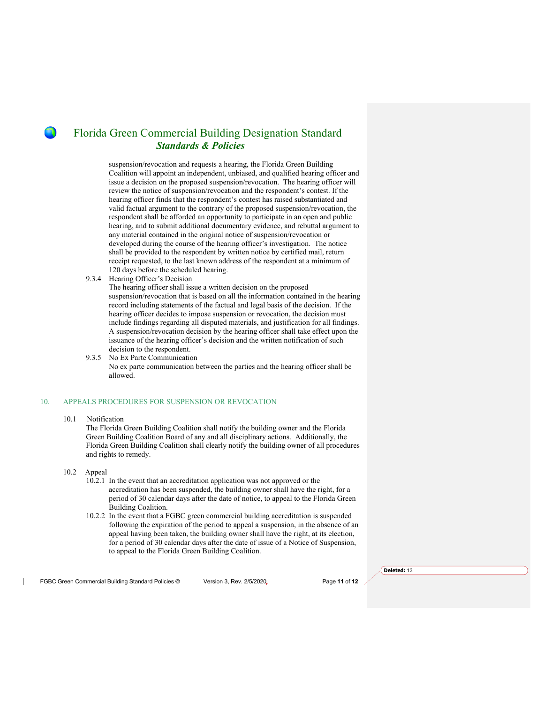suspension/revocation and requests a hearing, the Florida Green Building Coalition will appoint an independent, unbiased, and qualified hearing officer and issue a decision on the proposed suspension/revocation. The hearing officer will review the notice of suspension/revocation and the respondent's contest. If the hearing officer finds that the respondent's contest has raised substantiated and valid factual argument to the contrary of the proposed suspension/revocation, the respondent shall be afforded an opportunity to participate in an open and public hearing, and to submit additional documentary evidence, and rebuttal argument to any material contained in the original notice of suspension/revocation or developed during the course of the hearing officer's investigation. The notice shall be provided to the respondent by written notice by certified mail, return receipt requested, to the last known address of the respondent at a minimum of 120 days before the scheduled hearing.

9.3.4 Hearing Officer's Decision

The hearing officer shall issue a written decision on the proposed suspension/revocation that is based on all the information contained in the hearing record including statements of the factual and legal basis of the decision. If the hearing officer decides to impose suspension or revocation, the decision must include findings regarding all disputed materials, and justification for all findings. A suspension/revocation decision by the hearing officer shall take effect upon the issuance of the hearing officer's decision and the written notification of such decision to the respondent.

9.3.5 No Ex Parte Communication No ex parte communication between the parties and the hearing officer shall be allowed.

#### 10. APPEALS PROCEDURES FOR SUSPENSION OR REVOCATION

#### 10.1 Notification

The Florida Green Building Coalition shall notify the building owner and the Florida Green Building Coalition Board of any and all disciplinary actions. Additionally, the Florida Green Building Coalition shall clearly notify the building owner of all procedures and rights to remedy.

- 10.2 Appeal
	- 10.2.1 In the event that an accreditation application was not approved or the accreditation has been suspended, the building owner shall have the right, for a period of 30 calendar days after the date of notice, to appeal to the Florida Green Building Coalition.
	- 10.2.2 In the event that a FGBC green commercial building accreditation is suspended following the expiration of the period to appeal a suspension, in the absence of an appeal having been taken, the building owner shall have the right, at its election, for a period of 30 calendar days after the date of issue of a Notice of Suspension, to appeal to the Florida Green Building Coalition.

FGBC Green Commercial Building Standard Policies © Version 3, Rev. 2/5/2020 Page **11** of **12**